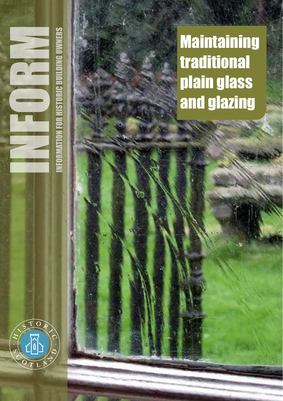**Maintaining** traditional plain glass and glazing



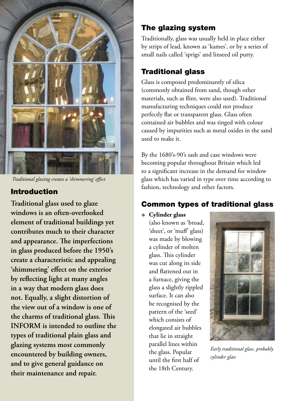

*Traditional glazing creates a 'shimmering' effect*

### Introduction

**Traditional glass used to glaze windows is an often-overlooked element of traditional buildings yet contributes much to their character and appearance. The imperfections in glass produced before the 1950's create a characteristic and appealing 'shimmering' effect on the exterior by reflecting light at many angles in a way that modern glass does not. Equally, a slight distortion of the view out of a window is one of the charms of traditional glass. This INFORM is intended to outline the types of traditional plain glass and glazing systems most commonly encountered by building owners, and to give general guidance on their maintenance and repair.** 

## The glazing system

Traditionally, glass was usually held in place either by strips of lead, known as 'kames', or by a series of small nails called 'sprigs' and linseed oil putty.

## Traditional glass

Glass is composed predominantly of silica (commonly obtained from sand, though other materials, such as flint, were also used). Traditional manufacturing techniques could not produce perfectly flat or transparent glass. Glass often contained air bubbles and was tinged with colour caused by impurities such as metal oxides in the sand used to make it.

By the 1680's-90's sash and case windows were becoming popular throughout Britain which led to a significant increase in the demand for window glass which has varied in type over time according to fashion, technology and other factors.

## Common types of traditional glass

• **Cylinder glass**

(also known as 'broad, 'sheet', or 'muff' glass) was made by blowing a cylinder of molten glass. This cylinder was cut along its side and flattened out in a furnace, giving the glass a slightly rippled surface. It can also be recognised by the pattern of the 'seed' which consists of elongated air bubbles that lie in straight parallel lines within the glass. Popular until the first half of the 18th Century.



*Early traditional glass, probably cylinder glass*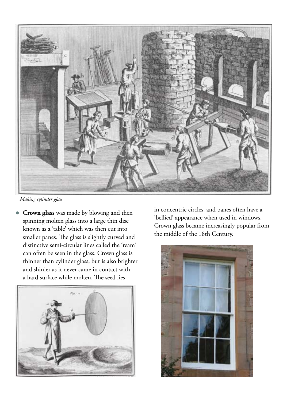

*Making cylinder glass*

• **Crown glass** was made by blowing and then spinning molten glass into a large thin disc known as a 'table' which was then cut into smaller panes. The glass is slightly curved and distinctive semi-circular lines called the 'ream' can often be seen in the glass. Crown glass is thinner than cylinder glass, but is also brighter and shinier as it never came in contact with a hard surface while molten. The seed lies



in concentric circles, and panes often have a 'bellied' appearance when used in windows. Crown glass became increasingly popular from the middle of the 18th Century.

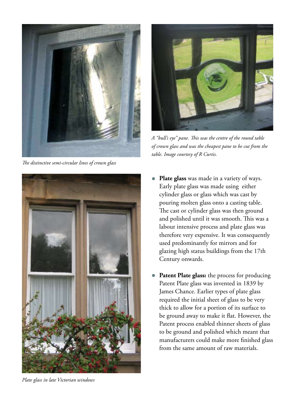

*The distinctive semi-circular lines of crown glass*





*A "bull's eye" pane. This was the centre of the round table of crown glass and was the cheapest pane to be cut from the table. Image courtesy of R Curtis.*

- **Plate glass** was made in a variety of ways. Early plate glass was made using either cylinder glass or glass which was cast by pouring molten glass onto a casting table. The cast or cylinder glass was then ground and polished until it was smooth. This was a labour intensive process and plate glass was therefore very expensive. It was consequently used predominantly for mirrors and for glazing high status buildings from the 17th Century onwards.
- Patent Plate glass: the process for producing Patent Plate glass was invented in 1839 by James Chance. Earlier types of plate glass required the initial sheet of glass to be very thick to allow for a portion of its surface to be ground away to make it flat. However, the Patent process enabled thinner sheets of glass to be ground and polished which meant that manufacturers could make more finished glass from the same amount of raw materials.

*Plate glass in late Victorian windows*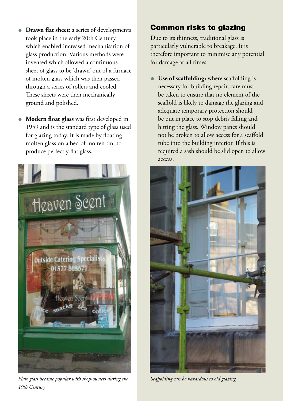- **Drawn flat sheet:** a series of developments took place in the early 20th Century which enabled increased mechanisation of glass production. Various methods were invented which allowed a continuous sheet of glass to be 'drawn' out of a furnace of molten glass which was then passed through a series of rollers and cooled. These sheets were then mechanically ground and polished.
- **Modern float glass** was first developed in 1959 and is the standard type of glass used for glazing today. It is made by floating molten glass on a bed of molten tin, to produce perfectly flat glass.



*Plate glass became popular with shop-owners during the 19th Century*

# Common risks to glazing

Due to its thinness, traditional glass is particularly vulnerable to breakage. It is therefore important to minimise any potential for damage at all times.

• **Use of scaffolding:** where scaffolding is necessary for building repair, care must be taken to ensure that no element of the scaffold is likely to damage the glazing and adequate temporary protection should be put in place to stop debris falling and hitting the glass. Window panes should not be broken to allow access for a scaffold tube into the building interior. If this is required a sash should be slid open to allow access.



*Scaffolding can be hazardous to old glazing*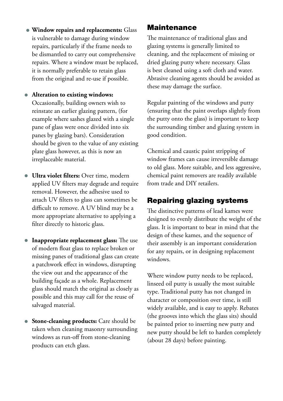- **Window repairs and replacements:** Glass is vulnerable to damage during window repairs, particularly if the frame needs to be dismantled to carry out comprehensive repairs. Where a window must be replaced, it is normally preferable to retain glass from the original and re-use if possible.
- **Alteration to existing windows:**  Occasionally, building owners wish to reinstate an earlier glazing pattern, (for example where sashes glazed with a single pane of glass were once divided into six panes by glazing bars). Consideration should be given to the value of any existing plate glass however, as this is now an irreplaceable material.
- **Ultra violet filters:** Over time, modern applied UV filters may degrade and require removal. However, the adhesive used to attach UV filters to glass can sometimes be difficult to remove. A UV blind may be a more appropriate alternative to applying a filter directly to historic glass.
- **Inappropriate replacement glass:** The use of modern float glass to replace broken or missing panes of traditional glass can create a patchwork effect in windows, disrupting the view out and the appearance of the building façade as a whole. Replacement glass should match the original as closely as possible and this may call for the reuse of salvaged material.
- **Stone-cleaning products:** Care should be taken when cleaning masonry surrounding windows as run-off from stone-cleaning products can etch glass.

## **Maintenance**

The maintenance of traditional glass and glazing systems is generally limited to cleaning, and the replacement of missing or dried glazing putty where necessary. Glass is best cleaned using a soft cloth and water. Abrasive cleaning agents should be avoided as these may damage the surface.

Regular painting of the windows and putty (ensuring that the paint overlaps slightly from the putty onto the glass) is important to keep the surrounding timber and glazing system in good condition.

Chemical and caustic paint stripping of window frames can cause irreversible damage to old glass. More suitable, and less aggressive, chemical paint removers are readily available from trade and DIY retailers.

# Repairing glazing systems

The distinctive patterns of lead kames were designed to evenly distribute the weight of the glass. It is important to bear in mind that the design of these kames, and the sequence of their assembly is an important consideration for any repairs, or in designing replacement windows.

Where window putty needs to be replaced, linseed oil putty is usually the most suitable type. Traditional putty has not changed in character or composition over time, is still widely available, and is easy to apply. Rebates (the grooves into which the glass sits) should be painted prior to inserting new putty and new putty should be left to harden completely (about 28 days) before painting.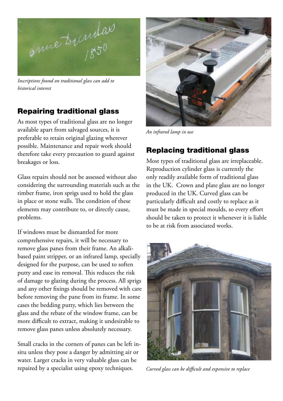

*Inscriptions found on traditional glass can add to historical interest*

# Repairing traditional glass

As most types of traditional glass are no longer available apart from salvaged sources, it is preferable to retain original glazing wherever possible. Maintenance and repair work should therefore take every precaution to guard against breakages or loss.

Glass repairs should not be assessed without also considering the surrounding materials such as the timber frame, iron sprigs used to hold the glass in place or stone walls. The condition of these elements may contribute to, or directly cause, problems.

If windows must be dismantled for more comprehensive repairs, it will be necessary to remove glass panes from their frame. An alkalibased paint stripper, or an infrared lamp, specially designed for the purpose, can be used to soften putty and ease its removal. This reduces the risk of damage to glazing during the process. All sprigs and any other fixings should be removed with care before removing the pane from its frame. In some cases the bedding putty, which lies between the glass and the rebate of the window frame, can be more difficult to extract, making it undesirable to remove glass panes unless absolutely necessary.

Small cracks in the corners of panes can be left insitu unless they pose a danger by admitting air or water. Larger cracks in very valuable glass can be repaired by a specialist using epoxy techniques.



*An infrared lamp in use*

# Replacing traditional glass

Most types of traditional glass are irreplaceable. Reproduction cylinder glass is currently the only readily available form of traditional glass in the UK. Crown and plate glass are no longer produced in the UK. Curved glass can be particularly difficult and costly to replace as it must be made in special moulds, so every effort should be taken to protect it whenever it is liable to be at risk from associated works.



*Curved glass can be difficult and expensive to replace*